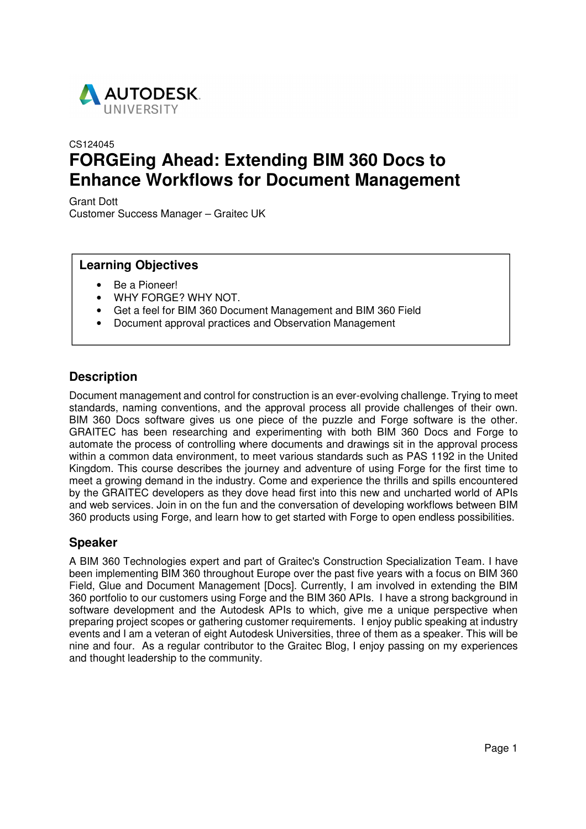

# CS124045 **FORGEing Ahead: Extending BIM 360 Docs to Enhance Workflows for Document Management**

Grant Dott Customer Success Manager – Graitec UK

### **Learning Objectives**

- Be a Pioneer!
- WHY FORGE? WHY NOT.
- Get a feel for BIM 360 Document Management and BIM 360 Field
- Document approval practices and Observation Management

### **Description**

Document management and control for construction is an ever-evolving challenge. Trying to meet standards, naming conventions, and the approval process all provide challenges of their own. BIM 360 Docs software gives us one piece of the puzzle and Forge software is the other. GRAITEC has been researching and experimenting with both BIM 360 Docs and Forge to automate the process of controlling where documents and drawings sit in the approval process within a common data environment, to meet various standards such as PAS 1192 in the United Kingdom. This course describes the journey and adventure of using Forge for the first time to meet a growing demand in the industry. Come and experience the thrills and spills encountered by the GRAITEC developers as they dove head first into this new and uncharted world of APIs and web services. Join in on the fun and the conversation of developing workflows between BIM 360 products using Forge, and learn how to get started with Forge to open endless possibilities.

### **Speaker**

A BIM 360 Technologies expert and part of Graitec's Construction Specialization Team. I have been implementing BIM 360 throughout Europe over the past five years with a focus on BIM 360 Field, Glue and Document Management [Docs]. Currently, I am involved in extending the BIM 360 portfolio to our customers using Forge and the BIM 360 APIs. I have a strong background in software development and the Autodesk APIs to which, give me a unique perspective when preparing project scopes or gathering customer requirements. I enjoy public speaking at industry events and I am a veteran of eight Autodesk Universities, three of them as a speaker. This will be nine and four. As a regular contributor to the Graitec Blog, I enjoy passing on my experiences and thought leadership to the community.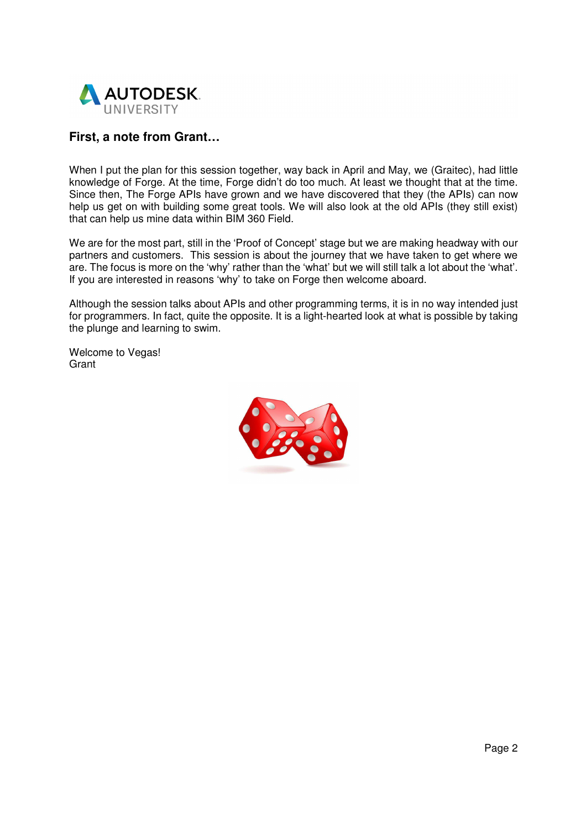

## **First, a note from Grant…**

When I put the plan for this session together, way back in April and May, we (Graitec), had little knowledge of Forge. At the time, Forge didn't do too much. At least we thought that at the time. Since then, The Forge APIs have grown and we have discovered that they (the APIs) can now help us get on with building some great tools. We will also look at the old APIs (they still exist) that can help us mine data within BIM 360 Field.

We are for the most part, still in the 'Proof of Concept' stage but we are making headway with our partners and customers. This session is about the journey that we have taken to get where we are. The focus is more on the 'why' rather than the 'what' but we will still talk a lot about the 'what'. If you are interested in reasons 'why' to take on Forge then welcome aboard.

Although the session talks about APIs and other programming terms, it is in no way intended just for programmers. In fact, quite the opposite. It is a light-hearted look at what is possible by taking the plunge and learning to swim.

Welcome to Vegas! Grant

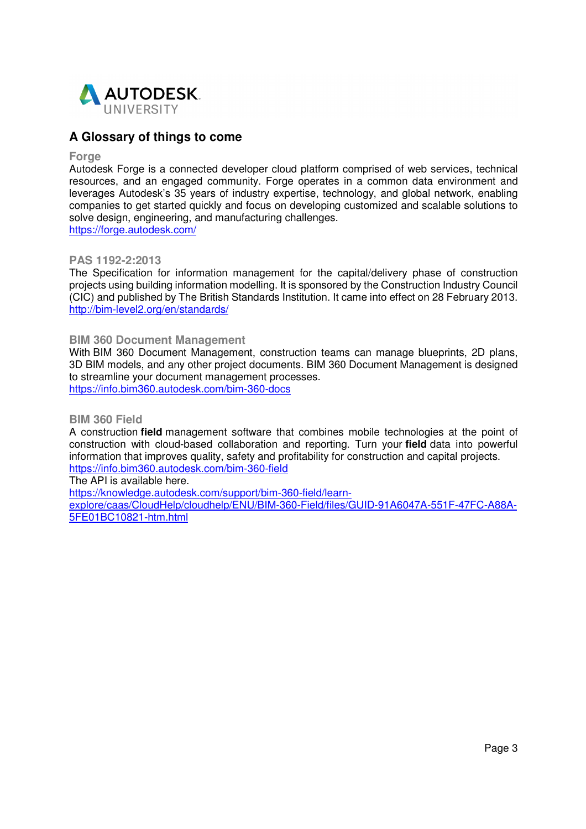

### **A Glossary of things to come**

#### **Forge**

Autodesk Forge is a connected developer cloud platform comprised of web services, technical resources, and an engaged community. Forge operates in a common data environment and leverages Autodesk's 35 years of industry expertise, technology, and global network, enabling companies to get started quickly and focus on developing customized and scalable solutions to solve design, engineering, and manufacturing challenges. https://forge.autodesk.com/

### **PAS 1192-2:2013**

The Specification for information management for the capital/delivery phase of construction projects using building information modelling. It is sponsored by the Construction Industry Council (CIC) and published by The British Standards Institution. It came into effect on 28 February 2013. http://bim-level2.org/en/standards/

#### **BIM 360 Document Management**

With BIM 360 Document Management, construction teams can manage blueprints, 2D plans, 3D BIM models, and any other project documents. BIM 360 Document Management is designed to streamline your document management processes. https://info.bim360.autodesk.com/bim-360-docs

#### **BIM 360 Field**

A construction **field** management software that combines mobile technologies at the point of construction with cloud-based collaboration and reporting. Turn your **field** data into powerful information that improves quality, safety and profitability for construction and capital projects. https://info.bim360.autodesk.com/bim-360-field

The API is available here.

https://knowledge.autodesk.com/support/bim-360-field/learn-

explore/caas/CloudHelp/cloudhelp/ENU/BIM-360-Field/files/GUID-91A6047A-551F-47FC-A88A-5FE01BC10821-htm.html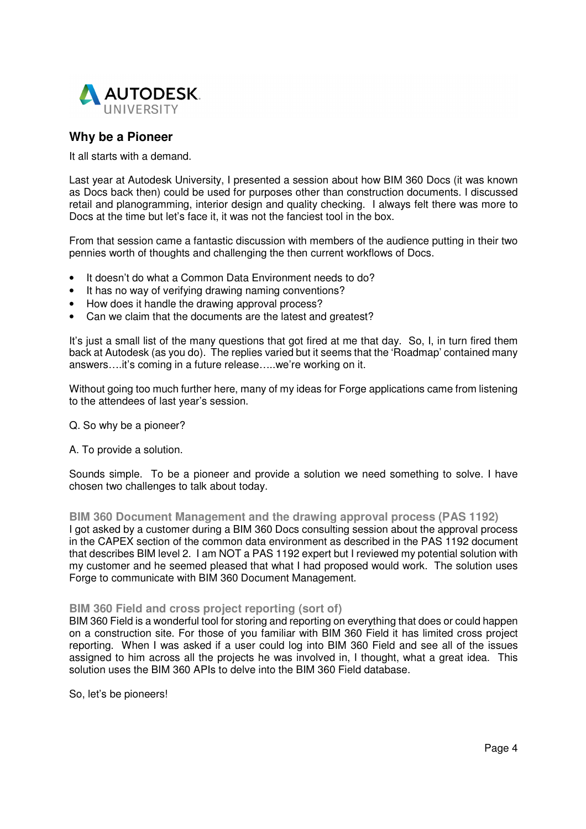

### **Why be a Pioneer**

It all starts with a demand.

Last year at Autodesk University, I presented a session about how BIM 360 Docs (it was known as Docs back then) could be used for purposes other than construction documents. I discussed retail and planogramming, interior design and quality checking. I always felt there was more to Docs at the time but let's face it, it was not the fanciest tool in the box.

From that session came a fantastic discussion with members of the audience putting in their two pennies worth of thoughts and challenging the then current workflows of Docs.

- It doesn't do what a Common Data Environment needs to do?
- It has no way of verifying drawing naming conventions?
- How does it handle the drawing approval process?
- Can we claim that the documents are the latest and greatest?

It's just a small list of the many questions that got fired at me that day. So, I, in turn fired them back at Autodesk (as you do). The replies varied but it seems that the 'Roadmap' contained many answers….it's coming in a future release…..we're working on it.

Without going too much further here, many of my ideas for Forge applications came from listening to the attendees of last year's session.

- Q. So why be a pioneer?
- A. To provide a solution.

Sounds simple. To be a pioneer and provide a solution we need something to solve. I have chosen two challenges to talk about today.

**BIM 360 Document Management and the drawing approval process (PAS 1192)**  I got asked by a customer during a BIM 360 Docs consulting session about the approval process in the CAPEX section of the common data environment as described in the PAS 1192 document that describes BIM level 2. I am NOT a PAS 1192 expert but I reviewed my potential solution with my customer and he seemed pleased that what I had proposed would work. The solution uses Forge to communicate with BIM 360 Document Management.

### **BIM 360 Field and cross project reporting (sort of)**

BIM 360 Field is a wonderful tool for storing and reporting on everything that does or could happen on a construction site. For those of you familiar with BIM 360 Field it has limited cross project reporting. When I was asked if a user could log into BIM 360 Field and see all of the issues assigned to him across all the projects he was involved in, I thought, what a great idea. This solution uses the BIM 360 APIs to delve into the BIM 360 Field database.

So, let's be pioneers!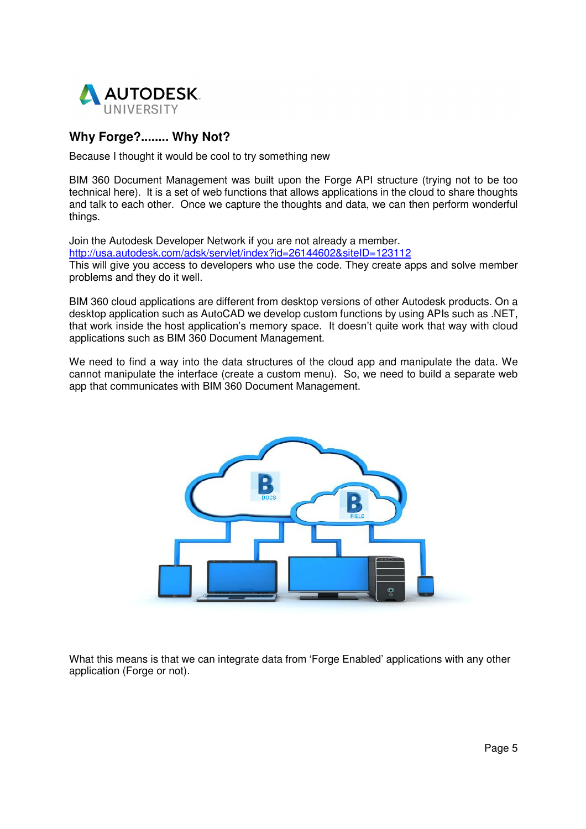

## **Why Forge?........ Why Not?**

Because I thought it would be cool to try something new

BIM 360 Document Management was built upon the Forge API structure (trying not to be too technical here). It is a set of web functions that allows applications in the cloud to share thoughts and talk to each other. Once we capture the thoughts and data, we can then perform wonderful things.

Join the Autodesk Developer Network if you are not already a member.

http://usa.autodesk.com/adsk/servlet/index?id=26144602&siteID=123112

This will give you access to developers who use the code. They create apps and solve member problems and they do it well.

BIM 360 cloud applications are different from desktop versions of other Autodesk products. On a desktop application such as AutoCAD we develop custom functions by using APIs such as .NET, that work inside the host application's memory space. It doesn't quite work that way with cloud applications such as BIM 360 Document Management.

We need to find a way into the data structures of the cloud app and manipulate the data. We cannot manipulate the interface (create a custom menu). So, we need to build a separate web app that communicates with BIM 360 Document Management.



What this means is that we can integrate data from 'Forge Enabled' applications with any other application (Forge or not).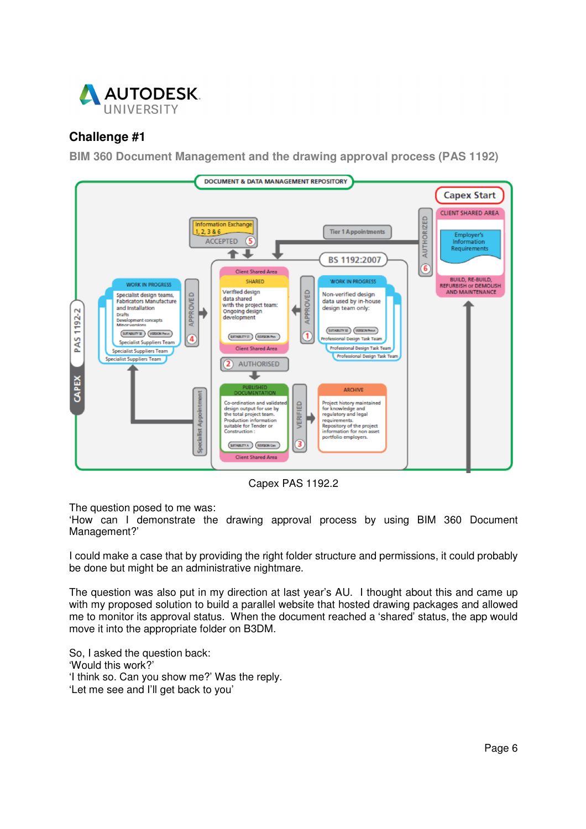

## **Challenge #1**

**BIM 360 Document Management and the drawing approval process (PAS 1192)** 



Capex PAS 1192.2

The question posed to me was:

'How can I demonstrate the drawing approval process by using BIM 360 Document Management?'

I could make a case that by providing the right folder structure and permissions, it could probably be done but might be an administrative nightmare.

The question was also put in my direction at last year's AU. I thought about this and came up with my proposed solution to build a parallel website that hosted drawing packages and allowed me to monitor its approval status. When the document reached a 'shared' status, the app would move it into the appropriate folder on B3DM.

So, I asked the question back: 'Would this work?' 'I think so. Can you show me?' Was the reply. 'Let me see and I'll get back to you'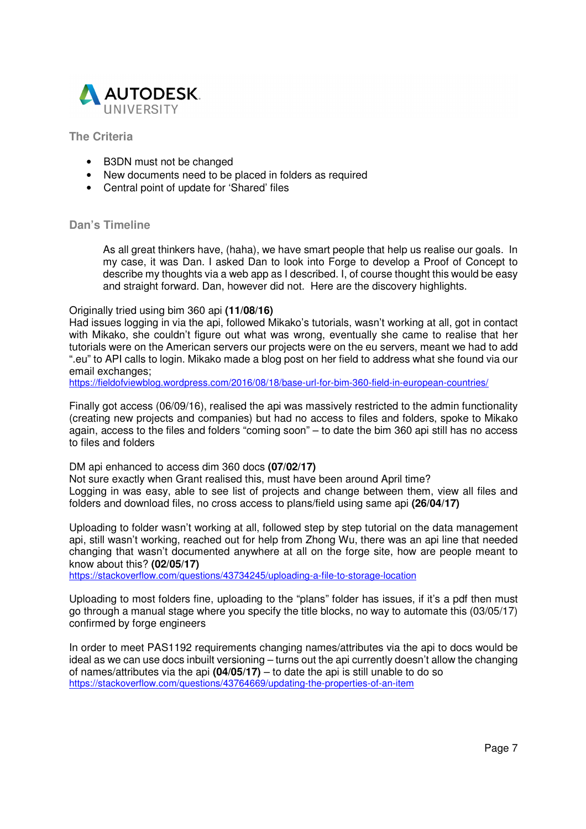

### **The Criteria**

- B3DN must not be changed
- New documents need to be placed in folders as required
- Central point of update for 'Shared' files

#### **Dan's Timeline**

As all great thinkers have, (haha), we have smart people that help us realise our goals. In my case, it was Dan. I asked Dan to look into Forge to develop a Proof of Concept to describe my thoughts via a web app as I described. I, of course thought this would be easy and straight forward. Dan, however did not. Here are the discovery highlights.

#### Originally tried using bim 360 api **(11/08/16)**

Had issues logging in via the api, followed Mikako's tutorials, wasn't working at all, got in contact with Mikako, she couldn't figure out what was wrong, eventually she came to realise that her tutorials were on the American servers our projects were on the eu servers, meant we had to add ".eu" to API calls to login. Mikako made a blog post on her field to address what she found via our email exchanges;

https://fieldofviewblog.wordpress.com/2016/08/18/base-url-for-bim-360-field-in-european-countries/

Finally got access (06/09/16), realised the api was massively restricted to the admin functionality (creating new projects and companies) but had no access to files and folders, spoke to Mikako again, access to the files and folders "coming soon" – to date the bim 360 api still has no access to files and folders

DM api enhanced to access dim 360 docs **(07/02/17)**

Not sure exactly when Grant realised this, must have been around April time? Logging in was easy, able to see list of projects and change between them, view all files and folders and download files, no cross access to plans/field using same api **(26/04/17)** 

Uploading to folder wasn't working at all, followed step by step tutorial on the data management api, still wasn't working, reached out for help from Zhong Wu, there was an api line that needed changing that wasn't documented anywhere at all on the forge site, how are people meant to know about this? **(02/05/17)**

https://stackoverflow.com/questions/43734245/uploading-a-file-to-storage-location

Uploading to most folders fine, uploading to the "plans" folder has issues, if it's a pdf then must go through a manual stage where you specify the title blocks, no way to automate this (03/05/17) confirmed by forge engineers

In order to meet PAS1192 requirements changing names/attributes via the api to docs would be ideal as we can use docs inbuilt versioning – turns out the api currently doesn't allow the changing of names/attributes via the api **(04/05/17)** – to date the api is still unable to do so https://stackoverflow.com/questions/43764669/updating-the-properties-of-an-item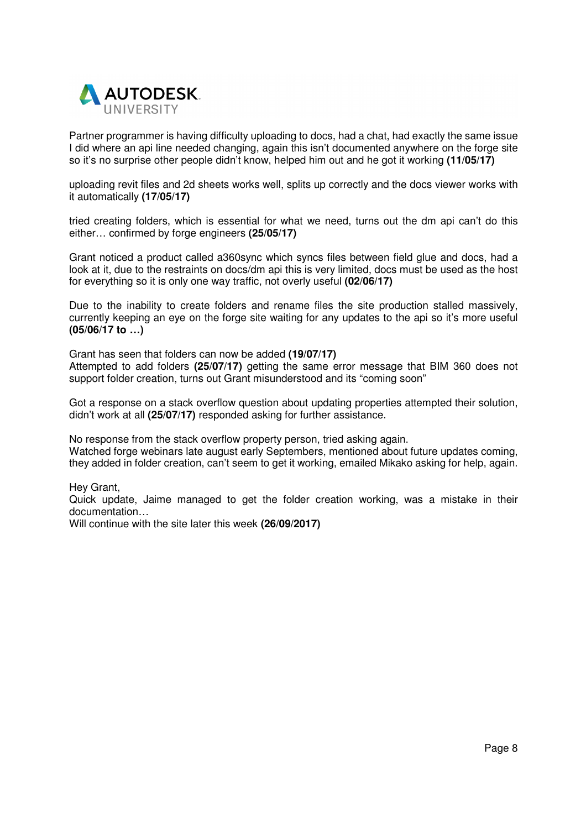

Partner programmer is having difficulty uploading to docs, had a chat, had exactly the same issue I did where an api line needed changing, again this isn't documented anywhere on the forge site so it's no surprise other people didn't know, helped him out and he got it working **(11/05/17)** 

uploading revit files and 2d sheets works well, splits up correctly and the docs viewer works with it automatically **(17/05/17)** 

tried creating folders, which is essential for what we need, turns out the dm api can't do this either… confirmed by forge engineers **(25/05/17)** 

Grant noticed a product called a360sync which syncs files between field glue and docs, had a look at it, due to the restraints on docs/dm api this is very limited, docs must be used as the host for everything so it is only one way traffic, not overly useful **(02/06/17)** 

Due to the inability to create folders and rename files the site production stalled massively, currently keeping an eye on the forge site waiting for any updates to the api so it's more useful **(05/06/17 to …)** 

Grant has seen that folders can now be added **(19/07/17)**

Attempted to add folders **(25/07/17)** getting the same error message that BIM 360 does not support folder creation, turns out Grant misunderstood and its "coming soon"

Got a response on a stack overflow question about updating properties attempted their solution, didn't work at all **(25/07/17)** responded asking for further assistance.

No response from the stack overflow property person, tried asking again.

Watched forge webinars late august early Septembers, mentioned about future updates coming, they added in folder creation, can't seem to get it working, emailed Mikako asking for help, again.

Hey Grant,

Quick update, Jaime managed to get the folder creation working, was a mistake in their documentation…

Will continue with the site later this week **(26/09/2017)**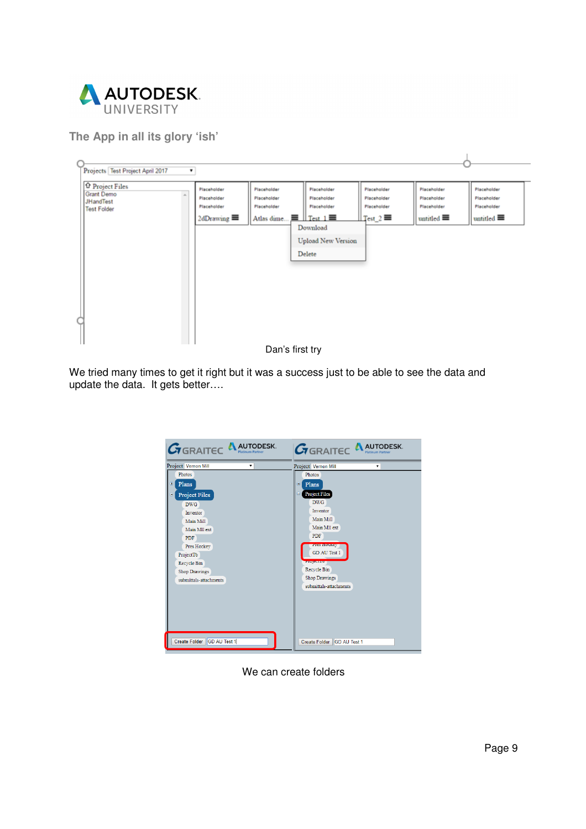

**The App in all its glory 'ish'**



We tried many times to get it right but it was a success just to be able to see the data and update the data. It gets better….



We can create folders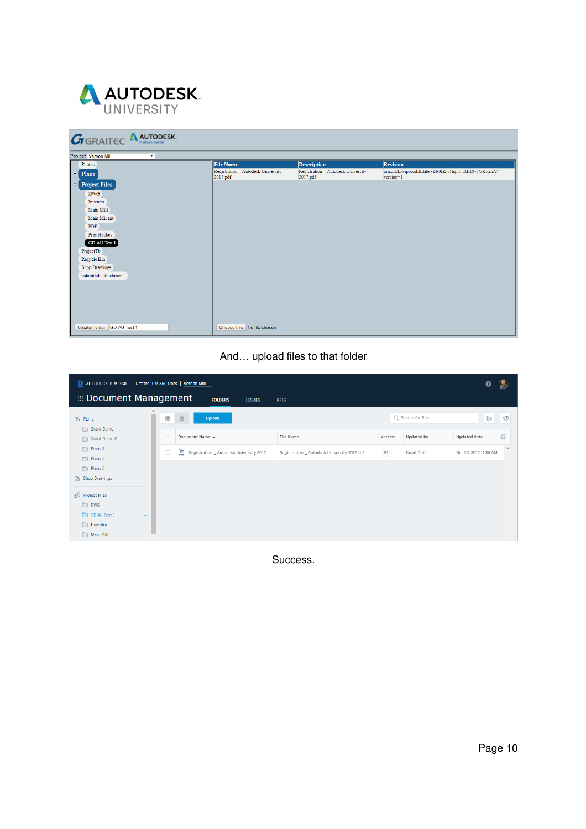

| <b>GRAITEC A AUTODESK.</b>           |                                                |                                                |                                                                 |
|--------------------------------------|------------------------------------------------|------------------------------------------------|-----------------------------------------------------------------|
| Project Vernon Mill<br>$\cdot$       |                                                |                                                |                                                                 |
| Photos                               | <b>File Name</b>                               | <b>Description</b>                             | <b>Revision</b>                                                 |
| $\blacksquare$ Plans                 | Registration _ Autodesk University<br>2017.pdf | Registration _ Autodesk University<br>2017.pdf | um:adsk.wipprod:fs.file:vf.P3IKw1tqTv-dGH0vyVKwmA?<br>version=1 |
| Project Files<br>e                   |                                                |                                                |                                                                 |
| <b>DWG</b>                           |                                                |                                                |                                                                 |
| Inventor                             |                                                |                                                |                                                                 |
| Main Mill                            |                                                |                                                |                                                                 |
| Main Mll ext                         |                                                |                                                |                                                                 |
| PDF                                  |                                                |                                                |                                                                 |
| Pres Hockey                          |                                                |                                                |                                                                 |
| <b>GD AU Test 1</b>                  |                                                |                                                |                                                                 |
| ProjectTb                            |                                                |                                                |                                                                 |
| Recycle Bin                          |                                                |                                                |                                                                 |
| <b>Shop Drawings</b>                 |                                                |                                                |                                                                 |
| submittals-attachments               |                                                |                                                |                                                                 |
|                                      |                                                |                                                |                                                                 |
|                                      |                                                |                                                |                                                                 |
|                                      |                                                |                                                |                                                                 |
|                                      |                                                |                                                |                                                                 |
|                                      |                                                |                                                |                                                                 |
| <b>GD AU Test 1</b><br>Create Folder | Choose File No file chosen                     |                                                |                                                                 |

## And… upload files to that folder

| AUTODESK BIM 360                           | Graitec BIM 360 Docs   Vernon Mill +              |                                             |         |                    | Ø                     |   |
|--------------------------------------------|---------------------------------------------------|---------------------------------------------|---------|--------------------|-----------------------|---|
| <b>EDIDENTIFY DISCUSSION IN MANAGEMENT</b> | <b>FOLDERS</b><br><b>ISSUES</b>                   | <b>RFIS</b>                                 |         |                    |                       |   |
| 同 Plans                                    | 88<br>$\equiv$<br>Upload                          |                                             |         | Q Search for files | ŀ.                    | Ð |
| Grant Demo<br>Grant Demo 2                 | Document Name ~<br>$\Box$                         | File Name                                   | Version | Updated by         | Updated date          | € |
| Plans.3<br>Plans.4                         | 蘴<br>o<br>Registration _ Autodesk University 2017 | Registration _ Autodesk University 2017.pdf | V1      | Grant Dott         | Oct 30, 2017 11:36 AM | A |
| Plans.5<br>Shop Drawings                   |                                                   |                                             |         |                    |                       |   |
| <b>图 Project Files</b>                     |                                                   |                                             |         |                    |                       |   |
| $\n  DWG\n$                                |                                                   |                                             |         |                    |                       |   |
| GD AU Test 1<br>$\cdots$<br>Inventor       |                                                   |                                             |         |                    |                       |   |
| Main Mill                                  |                                                   |                                             |         |                    |                       |   |

Success.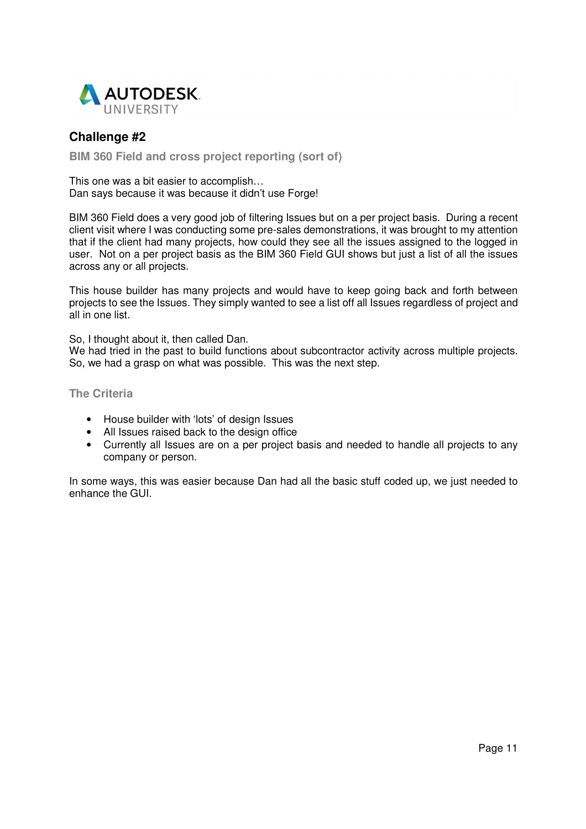

## **Challenge #2**

**BIM 360 Field and cross project reporting (sort of)**

This one was a bit easier to accomplish… Dan says because it was because it didn't use Forge!

BIM 360 Field does a very good job of filtering Issues but on a per project basis. During a recent client visit where I was conducting some pre-sales demonstrations, it was brought to my attention that if the client had many projects, how could they see all the issues assigned to the logged in user. Not on a per project basis as the BIM 360 Field GUI shows but just a list of all the issues across any or all projects.

This house builder has many projects and would have to keep going back and forth between projects to see the Issues. They simply wanted to see a list off all Issues regardless of project and all in one list.

So, I thought about it, then called Dan.

We had tried in the past to build functions about subcontractor activity across multiple projects. So, we had a grasp on what was possible. This was the next step.

**The Criteria** 

- House builder with 'lots' of design Issues
- All Issues raised back to the design office
- Currently all Issues are on a per project basis and needed to handle all projects to any company or person.

In some ways, this was easier because Dan had all the basic stuff coded up, we just needed to enhance the GUI.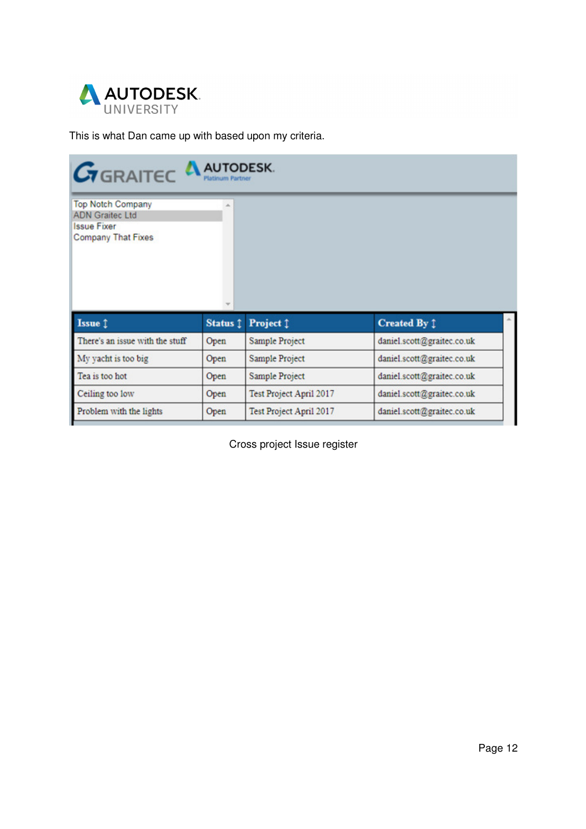

This is what Dan came up with based upon my criteria.

| <b>ADN Graitec Ltd</b><br><b>Issue Fixer</b><br><b>Company That Fixes</b> |          |                         |                            |  |
|---------------------------------------------------------------------------|----------|-------------------------|----------------------------|--|
|                                                                           |          |                         |                            |  |
| Issue 1                                                                   | Status 1 | Project 1               | <b>Created By 1</b>        |  |
| There's an issue with the stuff                                           | Open     | <b>Sample Project</b>   | daniel.scott@graitec.co.uk |  |
| My yacht is too big                                                       | Open     | Sample Project          | daniel.scott@graitec.co.uk |  |
| Tea is too hot                                                            | Open     | Sample Project          | daniel.scott@graitec.co.uk |  |
| Ceiling too low                                                           | Open     | Test Project April 2017 | daniel.scott@graitec.co.uk |  |

Cross project Issue register